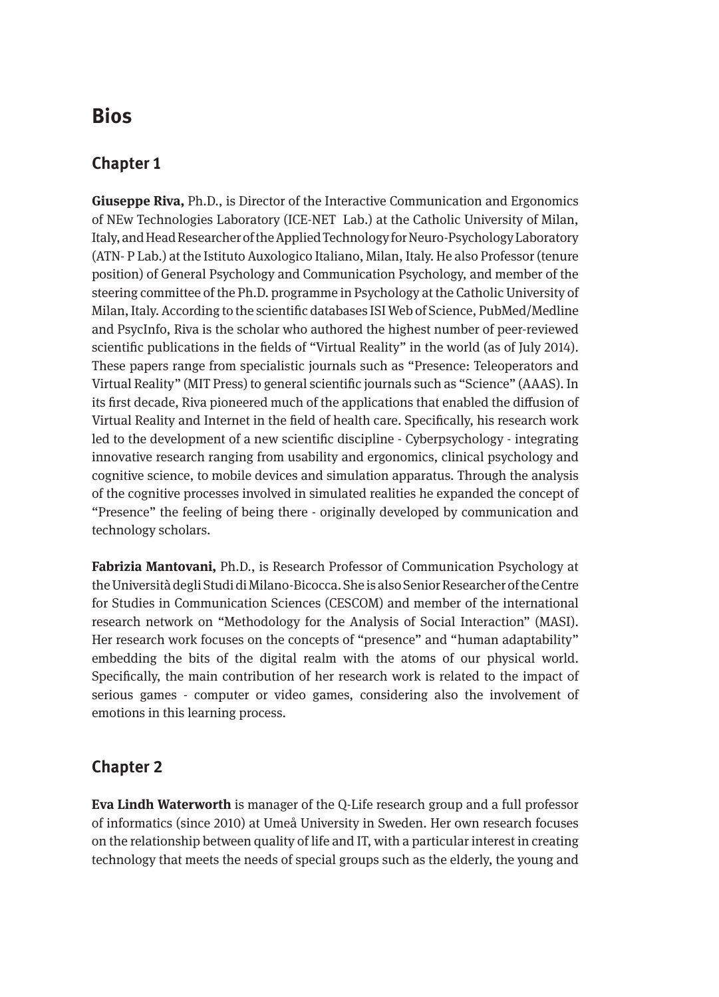# **Bios**

### **Chapter 1**

**Giuseppe Riva,** Ph.D., is Director of the Interactive Communication and Ergonomics of NEw Technologies Laboratory (ICE-NET Lab.) at the Catholic University of Milan, Italy, and Head Researcher of the Applied Technology for Neuro-Psychology Laboratory (ATN- P Lab.) at the Istituto Auxologico Italiano, Milan, Italy. He also Professor (tenure position) of General Psychology and Communication Psychology, and member of the steering committee of the Ph.D. programme in Psychology at the Catholic University of Milan, Italy. According to the scientific databases ISI Web of Science, PubMed/Medline and PsycInfo, Riva is the scholar who authored the highest number of peer-reviewed scientific publications in the fields of "Virtual Reality" in the world (as of July 2014). These papers range from specialistic journals such as "Presence: Teleoperators and Virtual Reality" (MIT Press) to general scientific journals such as "Science" (AAAS). In its first decade, Riva pioneered much of the applications that enabled the diffusion of Virtual Reality and Internet in the field of health care. Specifically, his research work led to the development of a new scientific discipline - Cyberpsychology - integrating innovative research ranging from usability and ergonomics, clinical psychology and cognitive science, to mobile devices and simulation apparatus. Through the analysis of the cognitive processes involved in simulated realities he expanded the concept of "Presence" the feeling of being there - originally developed by communication and technology scholars.

**Fabrizia Mantovani,** Ph.D., is Research Professor of Communication Psychology at the Università degli Studi di Milano-Bicocca. She is also Senior Researcher of the Centre for Studies in Communication Sciences (CESCOM) and member of the international research network on "Methodology for the Analysis of Social Interaction" (MASI). Her research work focuses on the concepts of "presence" and "human adaptability" embedding the bits of the digital realm with the atoms of our physical world. Specifically, the main contribution of her research work is related to the impact of serious games - computer or video games, considering also the involvement of emotions in this learning process.

#### **Chapter 2**

**Eva Lindh Waterworth** is manager of the Q-Life research group and a full professor of informatics (since 2010) at Umeå University in Sweden. Her own research focuses on the relationship between quality of life and IT, with a particular interest in creating technology that meets the needs of special groups such as the elderly, the young and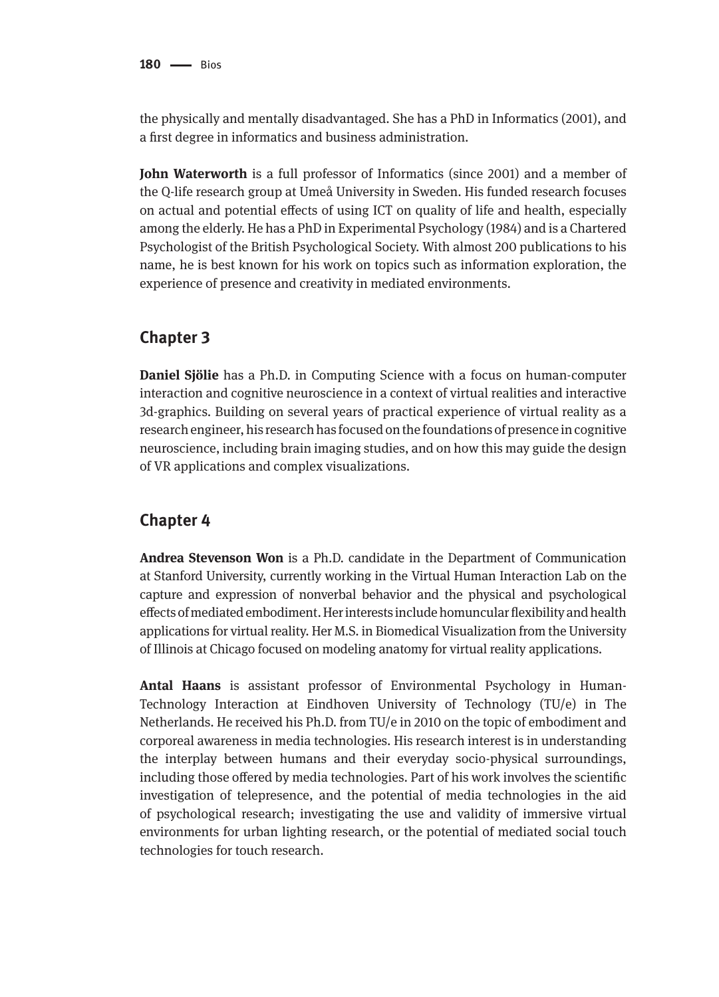the physically and mentally disadvantaged. She has a PhD in Informatics (2001), and a first degree in informatics and business administration.

**John Waterworth** is a full professor of Informatics (since 2001) and a member of the Q-life research group at Umeå University in Sweden. His funded research focuses on actual and potential effects of using ICT on quality of life and health, especially among the elderly. He has a PhD in Experimental Psychology (1984) and is a Chartered Psychologist of the British Psychological Society. With almost 200 publications to his name, he is best known for his work on topics such as information exploration, the experience of presence and creativity in mediated environments.

#### **Chapter 3**

**Daniel Sjölie** has a Ph.D. in Computing Science with a focus on human-computer interaction and cognitive neuroscience in a context of virtual realities and interactive 3d-graphics. Building on several years of practical experience of virtual reality as a research engineer, his research has focused on the foundations of presence in cognitive neuroscience, including brain imaging studies, and on how this may guide the design of VR applications and complex visualizations.

#### **Chapter 4**

**Andrea Stevenson Won** is a Ph.D. candidate in the Department of Communication at Stanford University, currently working in the Virtual Human Interaction Lab on the capture and expression of nonverbal behavior and the physical and psychological effects of mediated embodiment. Her interests include homuncular flexibility and health applications for virtual reality. Her M.S. in Biomedical Visualization from the University of Illinois at Chicago focused on modeling anatomy for virtual reality applications.

**Antal Haans** is assistant professor of Environmental Psychology in Human-Technology Interaction at Eindhoven University of Technology (TU/e) in The Netherlands. He received his Ph.D. from TU/e in 2010 on the topic of embodiment and corporeal awareness in media technologies. His research interest is in understanding the interplay between humans and their everyday socio-physical surroundings, including those offered by media technologies. Part of his work involves the scientific investigation of telepresence, and the potential of media technologies in the aid of psychological research; investigating the use and validity of immersive virtual environments for urban lighting research, or the potential of mediated social touch technologies for touch research.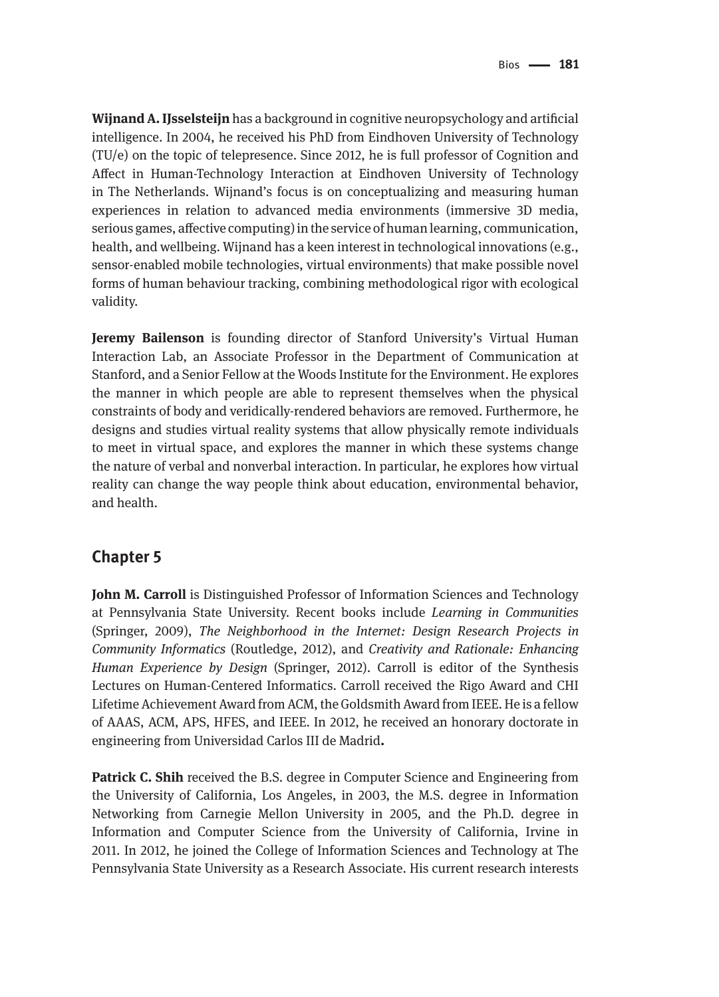**Wijnand A. IJsselsteijn** has a background in cognitive neuropsychology and artificial intelligence. In 2004, he received his PhD from Eindhoven University of Technology (TU/e) on the topic of telepresence. Since 2012, he is full professor of Cognition and Affect in Human-Technology Interaction at Eindhoven University of Technology in The Netherlands. Wijnand's focus is on conceptualizing and measuring human experiences in relation to advanced media environments (immersive 3D media, serious games, affective computing) in the service of human learning, communication, health, and wellbeing. Wijnand has a keen interest in technological innovations (e.g., sensor-enabled mobile technologies, virtual environments) that make possible novel forms of human behaviour tracking, combining methodological rigor with ecological validity.

**Jeremy Bailenson** is founding director of Stanford University's Virtual Human Interaction Lab, an Associate Professor in the Department of Communication at Stanford, and a Senior Fellow at the Woods Institute for the Environment. He explores the manner in which people are able to represent themselves when the physical constraints of body and veridically-rendered behaviors are removed. Furthermore, he designs and studies virtual reality systems that allow physically remote individuals to meet in virtual space, and explores the manner in which these systems change the nature of verbal and nonverbal interaction. In particular, he explores how virtual reality can change the way people think about education, environmental behavior, and health.

#### **Chapter 5**

**John M. Carroll** is Distinguished Professor of Information Sciences and Technology at Pennsylvania State University. Recent books include *Learning in Communities* (Springer, 2009), *The Neighborhood in the Internet: Design Research Projects in Community Informatics* (Routledge, 2012), and *Creativity and Rationale: Enhancing Human Experience by Design* (Springer, 2012). Carroll is editor of the Synthesis Lectures on Human-Centered Informatics. Carroll received the Rigo Award and CHI Lifetime Achievement Award from ACM, the Goldsmith Award from IEEE. He is a fellow of AAAS, ACM, APS, HFES, and IEEE. In 2012, he received an honorary doctorate in engineering from Universidad Carlos III de Madrid**.**

**Patrick C. Shih** received the B.S. degree in Computer Science and Engineering from the University of California, Los Angeles, in 2003, the M.S. degree in Information Networking from Carnegie Mellon University in 2005, and the Ph.D. degree in Information and Computer Science from the University of California, Irvine in 2011. In 2012, he joined the College of Information Sciences and Technology at The Pennsylvania State University as a Research Associate. His current research interests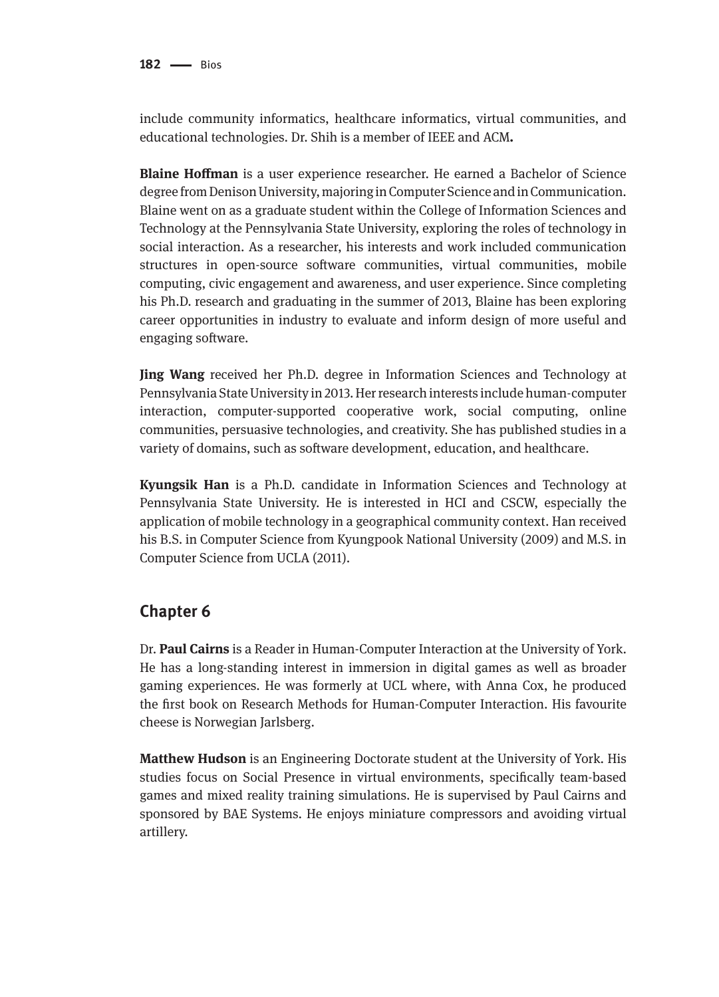include community informatics, healthcare informatics, virtual communities, and educational technologies. Dr. Shih is a member of IEEE and ACM**.**

**Blaine Hoffman** is a user experience researcher. He earned a Bachelor of Science degree from Denison University, majoring in Computer Science and in Communication. Blaine went on as a graduate student within the College of Information Sciences and Technology at the Pennsylvania State University, exploring the roles of technology in social interaction. As a researcher, his interests and work included communication structures in open-source software communities, virtual communities, mobile computing, civic engagement and awareness, and user experience. Since completing his Ph.D. research and graduating in the summer of 2013, Blaine has been exploring career opportunities in industry to evaluate and inform design of more useful and engaging software.

**Jing Wang** received her Ph.D. degree in Information Sciences and Technology at Pennsylvania State University in 2013. Her research interests include human-computer interaction, computer-supported cooperative work, social computing, online communities, persuasive technologies, and creativity. She has published studies in a variety of domains, such as software development, education, and healthcare.

**Kyungsik Han** is a Ph.D. candidate in Information Sciences and Technology at Pennsylvania State University. He is interested in HCI and CSCW, especially the application of mobile technology in a geographical community context. Han received his B.S. in Computer Science from Kyungpook National University (2009) and M.S. in Computer Science from UCLA (2011).

#### **Chapter 6**

Dr. **Paul Cairns** is a Reader in Human-Computer Interaction at the University of York. He has a long-standing interest in immersion in digital games as well as broader gaming experiences. He was formerly at UCL where, with Anna Cox, he produced the first book on Research Methods for Human-Computer Interaction. His favourite cheese is Norwegian Jarlsberg.

**Matthew Hudson** is an Engineering Doctorate student at the University of York. His studies focus on Social Presence in virtual environments, specifically team-based games and mixed reality training simulations. He is supervised by Paul Cairns and sponsored by BAE Systems. He enjoys miniature compressors and avoiding virtual artillery.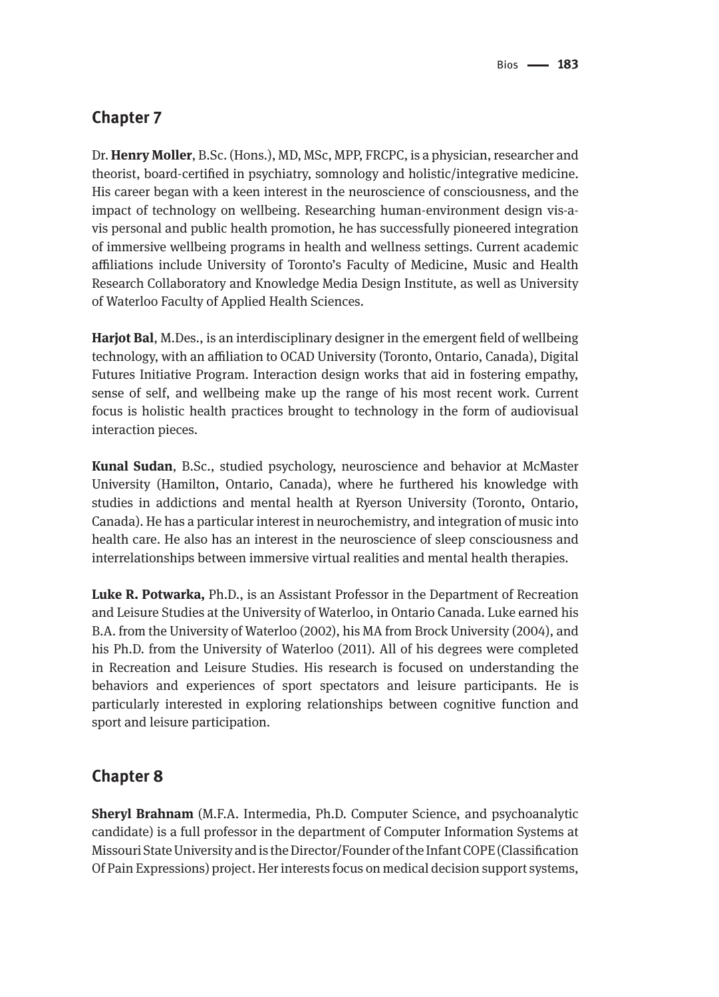## **Chapter 7**

Dr. **Henry Moller**, B.Sc. (Hons.), MD, MSc, MPP, FRCPC, is a physician, researcher and theorist, board-certified in psychiatry, somnology and holistic/integrative medicine. His career began with a keen interest in the neuroscience of consciousness, and the impact of technology on wellbeing. Researching human-environment design vis-avis personal and public health promotion, he has successfully pioneered integration of immersive wellbeing programs in health and wellness settings. Current academic affiliations include University of Toronto's Faculty of Medicine, Music and Health Research Collaboratory and Knowledge Media Design Institute, as well as University of Waterloo Faculty of Applied Health Sciences.

**Harjot Bal**, M.Des., is an interdisciplinary designer in the emergent field of wellbeing technology, with an affiliation to OCAD University (Toronto, Ontario, Canada), Digital Futures Initiative Program. Interaction design works that aid in fostering empathy, sense of self, and wellbeing make up the range of his most recent work. Current focus is holistic health practices brought to technology in the form of audiovisual interaction pieces.

**Kunal Sudan**, B.Sc., studied psychology, neuroscience and behavior at McMaster University (Hamilton, Ontario, Canada), where he furthered his knowledge with studies in addictions and mental health at Ryerson University (Toronto, Ontario, Canada). He has a particular interest in neurochemistry, and integration of music into health care. He also has an interest in the neuroscience of sleep consciousness and interrelationships between immersive virtual realities and mental health therapies.

**Luke R. Potwarka,** Ph.D., is an Assistant Professor in the Department of Recreation and Leisure Studies at the University of Waterloo, in Ontario Canada. Luke earned his B.A. from the University of Waterloo (2002), his MA from Brock University (2004), and his Ph.D. from the University of Waterloo (2011). All of his degrees were completed in Recreation and Leisure Studies. His research is focused on understanding the behaviors and experiences of sport spectators and leisure participants. He is particularly interested in exploring relationships between cognitive function and sport and leisure participation.

#### **Chapter 8**

**Sheryl Brahnam** (M.F.A. Intermedia, Ph.D. Computer Science, and psychoanalytic candidate) is a full professor in the department of Computer Information Systems at Missouri State University and is the Director/Founder of the Infant COPE (Classification Of Pain Expressions) project. Her interests focus on medical decision support systems,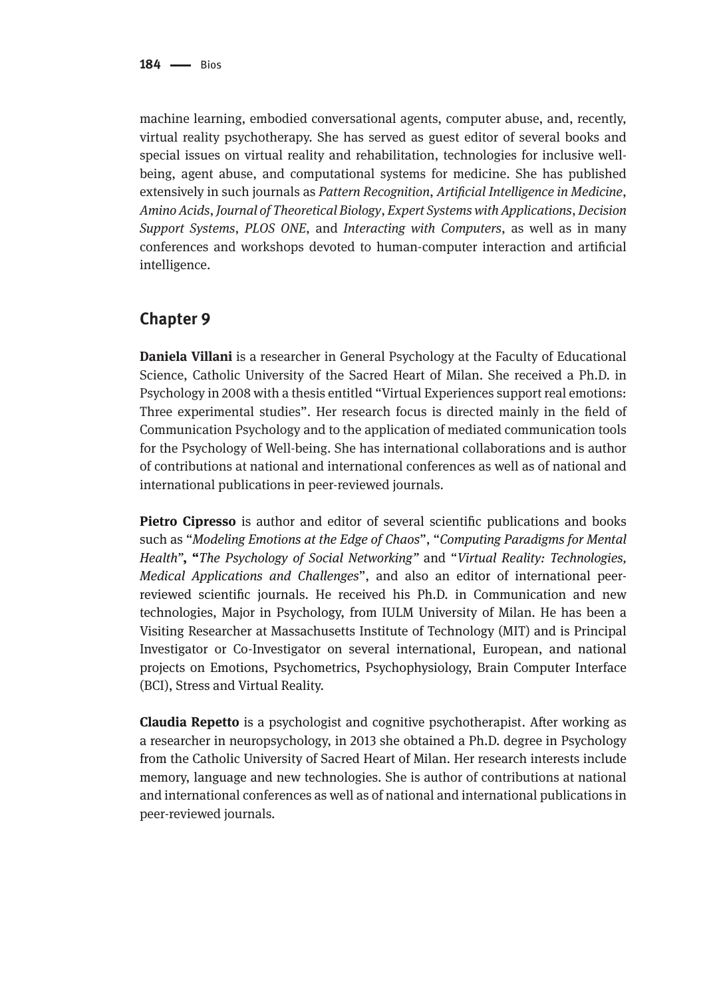machine learning, embodied conversational agents, computer abuse, and, recently, virtual reality psychotherapy. She has served as guest editor of several books and special issues on virtual reality and rehabilitation, technologies for inclusive wellbeing, agent abuse, and computational systems for medicine. She has published extensively in such journals as *Pattern Recognition*, *Artificial Intelligence in Medicine*, *Amino Acids*, *Journal of Theoretical Biology*, *Expert Systems with Applications*, *Decision Support Systems*, *PLOS ONE*, and *Interacting with Computers*, as well as in many conferences and workshops devoted to human-computer interaction and artificial intelligence.

#### **Chapter 9**

**Daniela Villani** is a researcher in General Psychology at the Faculty of Educational Science, Catholic University of the Sacred Heart of Milan. She received a Ph.D. in Psychology in 2008 with a thesis entitled "Virtual Experiences support real emotions: Three experimental studies". Her research focus is directed mainly in the field of Communication Psychology and to the application of mediated communication tools for the Psychology of Well-being. She has international collaborations and is author of contributions at national and international conferences as well as of national and international publications in peer-reviewed journals.

**Pietro Cipresso** is author and editor of several scientific publications and books such as "*Modeling Emotions at the Edge of Chaos*", "*Computing Paradigms for Mental Health"***, "***The Psychology of Social Networking"* and "*Virtual Reality: Technologies, Medical Applications and Challenges*", and also an editor of international peerreviewed scientific journals. He received his Ph.D. in Communication and new technologies, Major in Psychology, from IULM University of Milan. He has been a Visiting Researcher at Massachusetts Institute of Technology (MIT) and is Principal Investigator or Co-Investigator on several international, European, and national projects on Emotions, Psychometrics, Psychophysiology, Brain Computer Interface (BCI), Stress and Virtual Reality.

**Claudia Repetto** is a psychologist and cognitive psychotherapist. After working as a researcher in neuropsychology, in 2013 she obtained a Ph.D. degree in Psychology from the Catholic University of Sacred Heart of Milan. Her research interests include memory, language and new technologies. She is author of contributions at national and international conferences as well as of national and international publications in peer-reviewed journals.